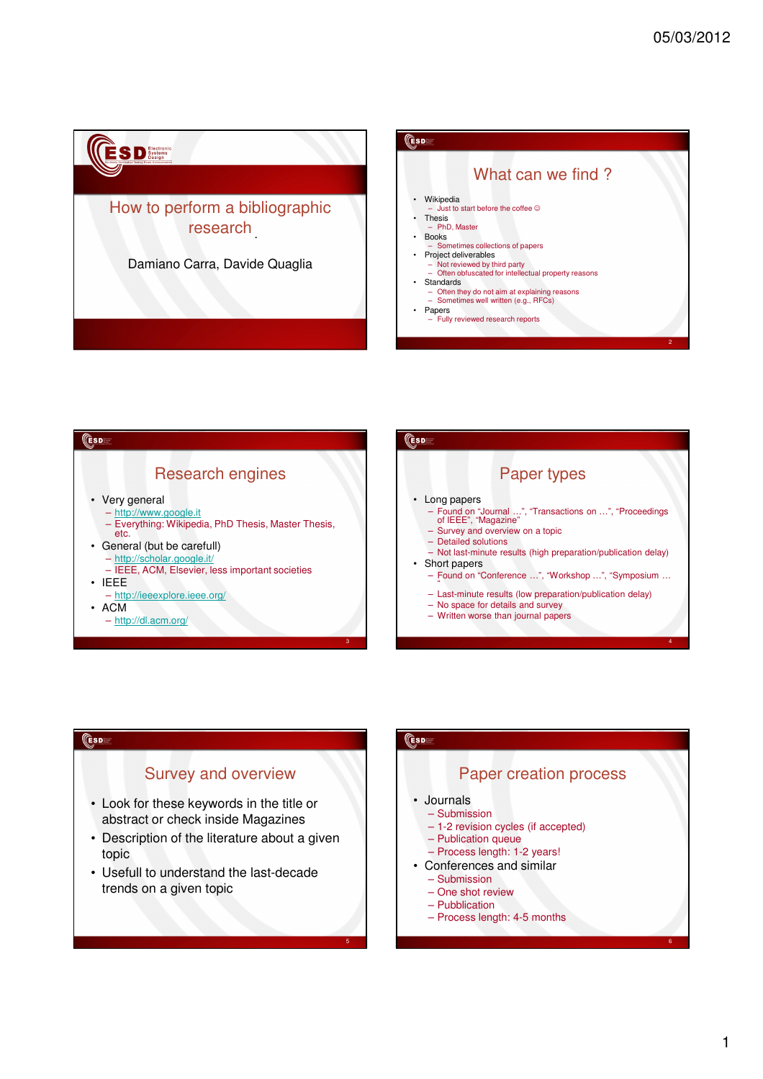





# Survey and overview

**CESD** 

- Look for these keywords in the title or abstract or check inside Magazines
- Description of the literature about a given topic
- Usefull to understand the last-decade trends on a given topic

# **CESD**

5

# Paper creation process

- Journals
	- Submission
	- 1-2 revision cycles (if accepted)
	- Publication queue
- Process length: 1-2 years! • Conferences and similar
	- Submission
	- One shot review
	- Pubblication
	- Process length: 4-5 months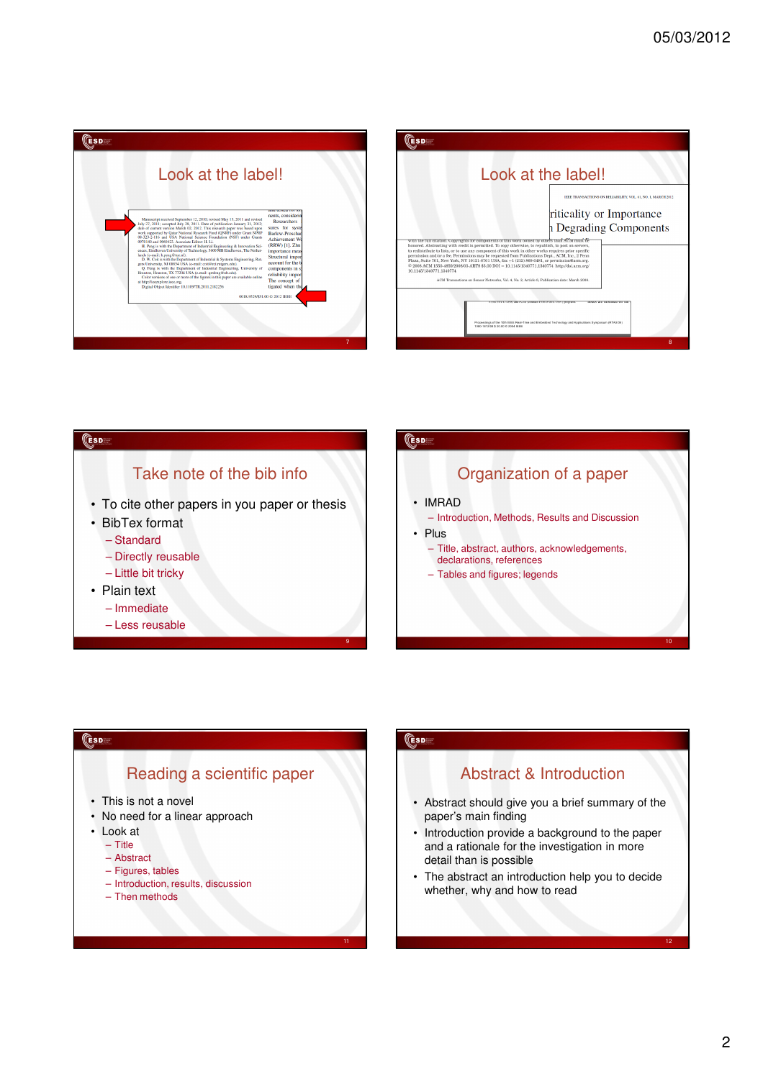



#### **CESD**

# Take note of the bib info

- To cite other papers in you paper or thesis
- BibTex format
	- Standard
	- Directly reusable
	- Little bit tricky
- Plain text
	- Immediate
	- Less reusable

# **CESD** Organization of a paper • IMRAD – Introduction, Methods, Results and Discussion • Plus – Title, abstract, authors, acknowledgements, declarations, references – Tables and figures; legends

# Reading a scientific paper

- This is not a novel
- No need for a linear approach
- Look at

**CESD** 

- Title
- Abstract – Figures, tables
- Introduction, results, discussion
- Then methods
- 

## **CESDE**

9

# Abstract & Introduction

- Abstract should give you a brief summary of the paper's main finding
- Introduction provide a background to the paper and a rationale for the investigation in more detail than is possible
- The abstract an introduction help you to decide whether, why and how to read

10

12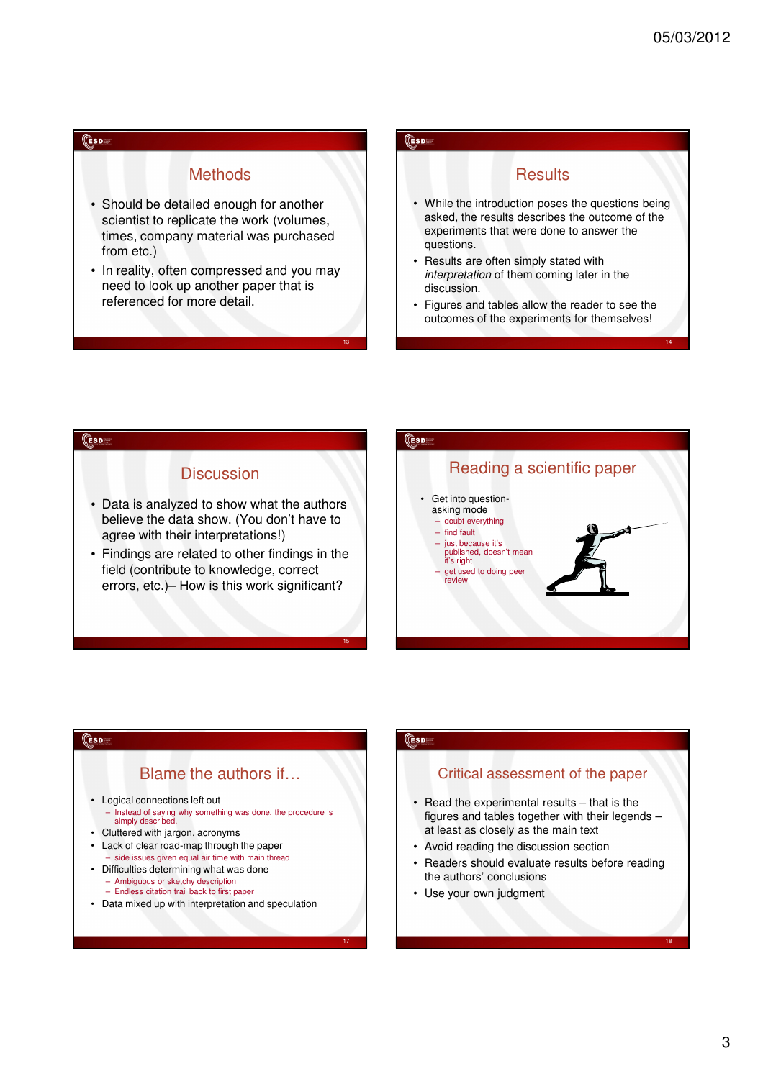14

#### **ESD**

#### **Methods**

- Should be detailed enough for another scientist to replicate the work (volumes, times, company material was purchased from etc.)
- In reality, often compressed and you may need to look up another paper that is referenced for more detail.

#### **ESD**

13

15

17

#### **Results**

- While the introduction poses the questions being asked, the results describes the outcome of the experiments that were done to answer the questions.
- Results are often simply stated with interpretation of them coming later in the discussion.
- Figures and tables allow the reader to see the outcomes of the experiments for themselves!

#### **CESD**

# **Discussion**

- Data is analyzed to show what the authors believe the data show. (You don't have to agree with their interpretations!)
- Findings are related to other findings in the field (contribute to knowledge, correct errors, etc.)– How is this work significant?



#### **CESD**

# Blame the authors if…

- Logical connections left out
	- Instead of saying why something was done, the procedure is simply described.
- Cluttered with jargon, acronyms
- Lack of clear road-map through the paper – side issues given equal air time with main thread
	- Difficulties determining what was done
	- Ambiguous or sketchy description
	- Endless citation trail back to first paper
- Data mixed up with interpretation and speculation

#### **CESDE**

# Critical assessment of the paper

- Read the experimental results that is the figures and tables together with their legends – at least as closely as the main text
- Avoid reading the discussion section
- Readers should evaluate results before reading the authors' conclusions
- Use your own judgment

18